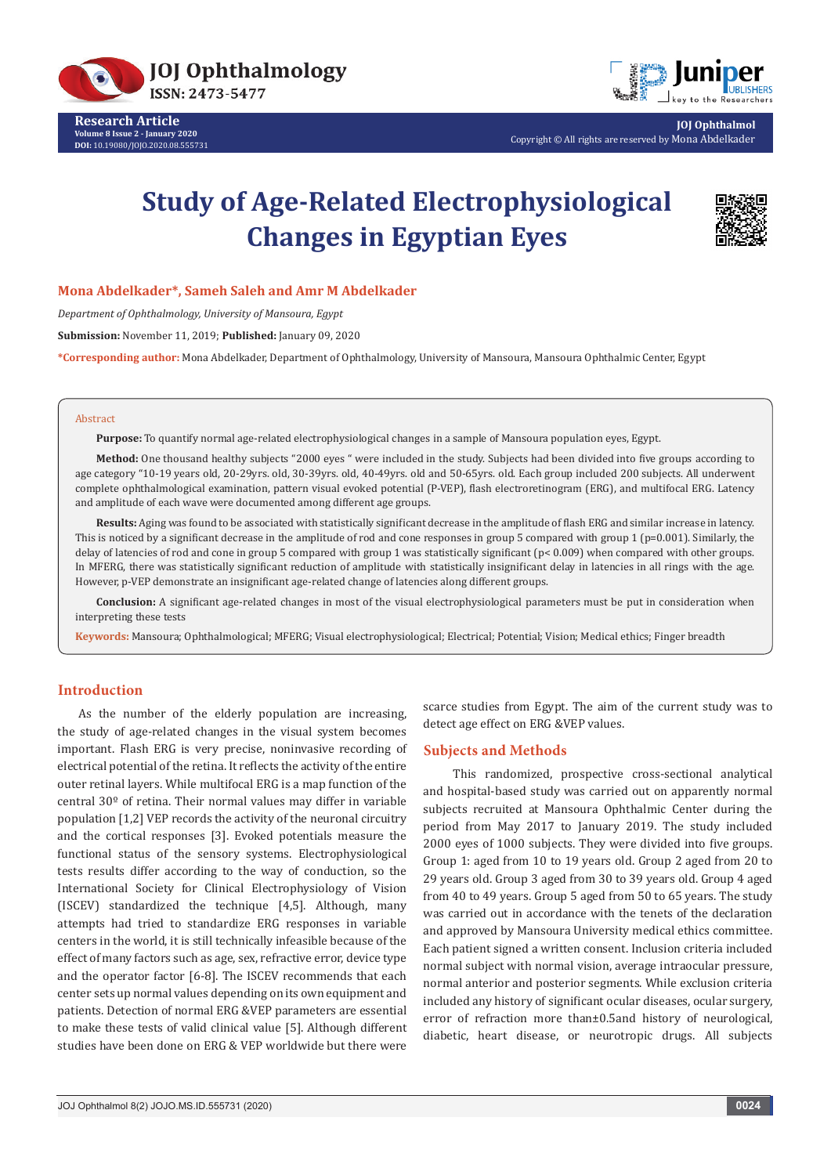

**Research Article Volume 8 Issue 2 - January 2020 DOI:** [10.19080/JOJO.2020.08.55573](http://dx.doi.org/10.19080/JOJO.2020.08.555731)1



**JOJ Ophthalmol** Copyright © All rights are reserved by Mona Abdelkader

# **Study of Age-Related Electrophysiological Changes in Egyptian Eyes**



# **Mona Abdelkader\*, Sameh Saleh and Amr M Abdelkader**

*Department of Ophthalmology, University of Mansoura, Egypt*

**Submission:** November 11, 2019; **Published:** January 09, 2020

**\*Corresponding author:** Mona Abdelkader, Department of Ophthalmology, University of Mansoura, Mansoura Ophthalmic Center, Egypt

#### Abstract

**Purpose:** To quantify normal age-related electrophysiological changes in a sample of Mansoura population eyes, Egypt.

**Method:** One thousand healthy subjects "2000 eyes " were included in the study. Subjects had been divided into five groups according to age category "10-19 years old, 20-29yrs. old, 30-39yrs. old, 40-49yrs. old and 50-65yrs. old. Each group included 200 subjects. All underwent complete ophthalmological examination, pattern visual evoked potential (P-VEP), flash electroretinogram (ERG), and multifocal ERG. Latency and amplitude of each wave were documented among different age groups.

**Results:** Aging was found to be associated with statistically significant decrease in the amplitude of flash ERG and similar increase in latency. This is noticed by a significant decrease in the amplitude of rod and cone responses in group 5 compared with group 1 (p=0.001). Similarly, the delay of latencies of rod and cone in group 5 compared with group 1 was statistically significant (p< 0.009) when compared with other groups. In MFERG, there was statistically significant reduction of amplitude with statistically insignificant delay in latencies in all rings with the age. However, p-VEP demonstrate an insignificant age-related change of latencies along different groups.

**Conclusion:** A significant age-related changes in most of the visual electrophysiological parameters must be put in consideration when interpreting these tests

**Keywords:** Mansoura; Ophthalmological; MFERG; Visual electrophysiological; Electrical; Potential; Vision; Medical ethics; Finger breadth

# **Introduction**

As the number of the elderly population are increasing, the study of age-related changes in the visual system becomes important. Flash ERG is very precise, noninvasive recording of electrical potential of the retina. It reflects the activity of the entire outer retinal layers. While multifocal ERG is a map function of the central 30º of retina. Their normal values may differ in variable population [1,2] VEP records the activity of the neuronal circuitry and the cortical responses [3]. Evoked potentials measure the functional status of the sensory systems. Electrophysiological tests results differ according to the way of conduction, so the International Society for Clinical Electrophysiology of Vision (ISCEV) standardized the technique [4,5]. Although, many attempts had tried to standardize ERG responses in variable centers in the world, it is still technically infeasible because of the effect of many factors such as age, sex, refractive error, device type and the operator factor [6-8]. The ISCEV recommends that each center sets up normal values depending on its own equipment and patients. Detection of normal ERG &VEP parameters are essential to make these tests of valid clinical value [5]. Although different studies have been done on ERG & VEP worldwide but there were

scarce studies from Egypt. The aim of the current study was to detect age effect on ERG &VEP values.

#### **Subjects and Methods**

 This randomized, prospective cross-sectional analytical and hospital-based study was carried out on apparently normal subjects recruited at Mansoura Ophthalmic Center during the period from May 2017 to January 2019. The study included 2000 eyes of 1000 subjects. They were divided into five groups. Group 1: aged from 10 to 19 years old. Group 2 aged from 20 to 29 years old. Group 3 aged from 30 to 39 years old. Group 4 aged from 40 to 49 years. Group 5 aged from 50 to 65 years. The study was carried out in accordance with the tenets of the declaration and approved by Mansoura University medical ethics committee. Each patient signed a written consent. Inclusion criteria included normal subject with normal vision, average intraocular pressure, normal anterior and posterior segments. While exclusion criteria included any history of significant ocular diseases, ocular surgery, error of refraction more than±0.5and history of neurological, diabetic, heart disease, or neurotropic drugs. All subjects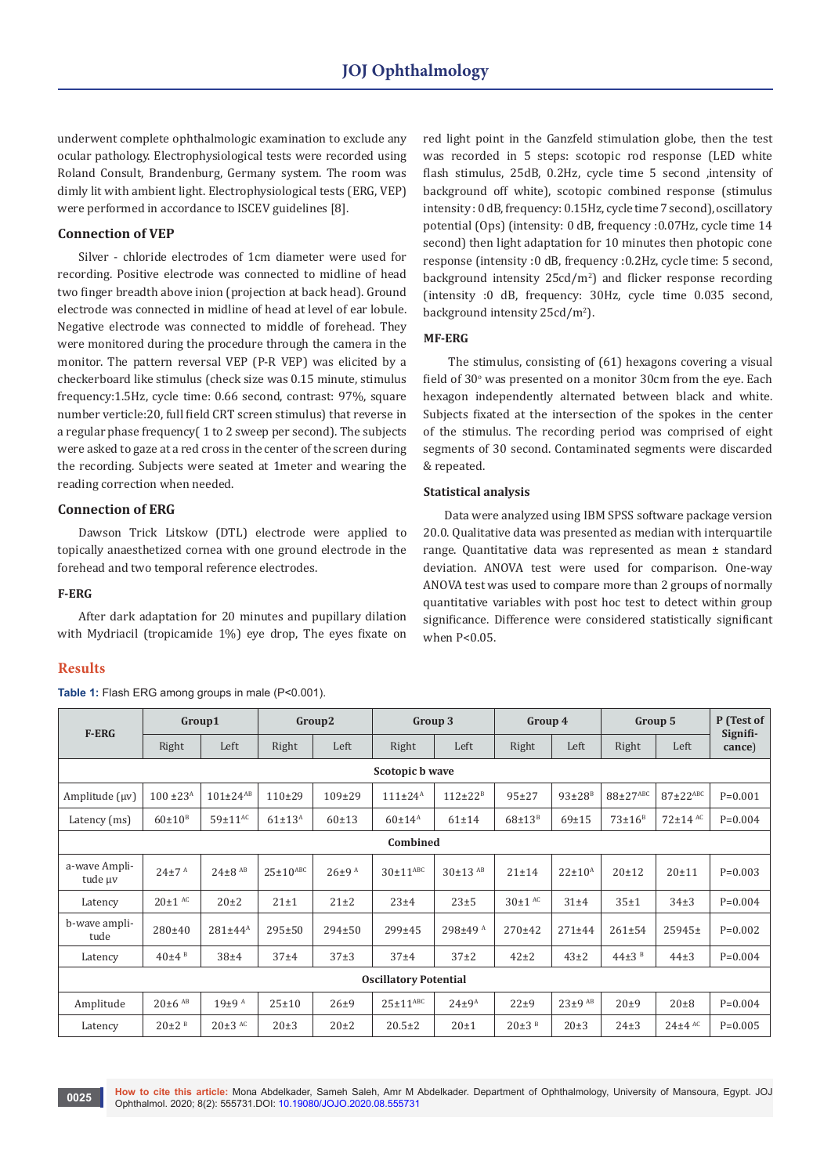underwent complete ophthalmologic examination to exclude any ocular pathology. Electrophysiological tests were recorded using Roland Consult, Brandenburg, Germany system. The room was dimly lit with ambient light. Electrophysiological tests (ERG, VEP) were performed in accordance to ISCEV guidelines [8].

# **Connection of VEP**

Silver - chloride electrodes of 1cm diameter were used for recording. Positive electrode was connected to midline of head two finger breadth above inion (projection at back head). Ground electrode was connected in midline of head at level of ear lobule. Negative electrode was connected to middle of forehead. They were monitored during the procedure through the camera in the monitor. The pattern reversal VEP (P-R VEP) was elicited by a checkerboard like stimulus (check size was 0.15 minute, stimulus frequency:1.5Hz, cycle time: 0.66 second, contrast: 97%, square number verticle:20, full field CRT screen stimulus) that reverse in a regular phase frequency( 1 to 2 sweep per second). The subjects were asked to gaze at a red cross in the center of the screen during the recording. Subjects were seated at 1meter and wearing the reading correction when needed.

# **Connection of ERG**

Dawson Trick Litskow (DTL) electrode were applied to topically anaesthetized cornea with one ground electrode in the forehead and two temporal reference electrodes.

#### **F-ERG**

After dark adaptation for 20 minutes and pupillary dilation with Mydriacil (tropicamide 1%) eye drop, The eyes fixate on

# **Results**

Table 1: Flash ERG among groups in male (P<0.001).

red light point in the Ganzfeld stimulation globe, then the test was recorded in 5 steps: scotopic rod response (LED white flash stimulus, 25dB, 0.2Hz, cycle time 5 second ,intensity of background off white), scotopic combined response (stimulus intensity : 0 dB, frequency: 0.15Hz, cycle time 7 second), oscillatory potential (Ops) (intensity: 0 dB, frequency :0.07Hz, cycle time 14 second) then light adaptation for 10 minutes then photopic cone response (intensity :0 dB, frequency :0.2Hz, cycle time: 5 second, background intensity 25cd/m2 ) and flicker response recording (intensity :0 dB, frequency: 30Hz, cycle time 0.035 second, background intensity 25cd/m<sup>2</sup>).

# **MF-ERG**

 The stimulus, consisting of (61) hexagons covering a visual field of  $30^{\circ}$  was presented on a monitor  $30 \text{cm}$  from the eye. Each hexagon independently alternated between black and white. Subjects fixated at the intersection of the spokes in the center of the stimulus. The recording period was comprised of eight segments of 30 second. Contaminated segments were discarded & repeated.

#### **Statistical analysis**

Data were analyzed using IBM SPSS software package version 20.0. Qualitative data was presented as median with interquartile range. Quantitative data was represented as mean ± standard deviation. ANOVA test were used for comparison. One-way ANOVA test was used to compare more than 2 groups of normally quantitative variables with post hoc test to detect within group significance. Difference were considered statistically significant when  $P < 0.05$ .

|                              | Group1                  |                           |                 | Group <sub>2</sub>    |                          | Group 3               |                        | Group 4         | Group 5               |                            | P (Test of         |  |
|------------------------------|-------------------------|---------------------------|-----------------|-----------------------|--------------------------|-----------------------|------------------------|-----------------|-----------------------|----------------------------|--------------------|--|
| <b>F-ERG</b>                 | Right                   | Left                      | Right           | Left                  | Right                    | Left                  | Right                  | Left            | Right                 | Left                       | Signifi-<br>cance) |  |
| Scotopic b wave              |                         |                           |                 |                       |                          |                       |                        |                 |                       |                            |                    |  |
| Amplitude (µv)               | $100 \pm 23^{\text{A}}$ | $101 \pm 24^{AB}$         | $110+29$        | 109±29                | $111 \pm 24^{\text{A}}$  | $112 \pm 22^B$        | $95 + 27$              | $93{\pm}28^{B}$ | 88±27ABC              | $87 \pm 22$ <sup>ABC</sup> | $P=0.001$          |  |
| Latency (ms)                 | $60\pm10^{\rm B}$       | $59 \pm 11$ <sup>AC</sup> | $61 \pm 13^{A}$ | 60±13                 | $60 \pm 14^{\text{A}}$   | $61 \pm 14$           | $68\pm13$ <sup>B</sup> | $69 + 15$       | $73\pm16^{\text{B}}$  | $72\pm14$ AC               | $P=0.004$          |  |
| Combined                     |                         |                           |                 |                       |                          |                       |                        |                 |                       |                            |                    |  |
| a-wave Ampli-<br>tude µv     | $24\pm7$ <sup>A</sup>   | $24\pm8$ <sup>AB</sup>    | $25\pm10^{ABC}$ | $26\pm9$ <sup>A</sup> | $30\pm11$ <sup>ABC</sup> | $30\pm13$ AB          | $21 \pm 14$            | $22 \pm 10^{A}$ | $20 + 12$             | $20 + 11$                  | $P=0.003$          |  |
| Latency                      | $20\pm1$ AC             | $20\pm2$                  | $21 \pm 1$      | $21\pm2$              | 23±4                     | $23 \pm 5$            | $30\pm1$ AC            | $31\pm4$        | 35±1                  | $34\pm3$                   | $P = 0.004$        |  |
| b-wave ampli-<br>tude        | 280±40                  | $281 \pm 44^{\text{A}}$   | $295 \pm 50$    | 294±50                | 299±45                   | 298±49 <sup>A</sup>   | 270±42                 | $271 + 44$      | $261 \pm 54$          | 25945±                     | $P=0.002$          |  |
| Latency                      | $40\pm4$ <sup>B</sup>   | 38±4                      | $37\pm4$        | $37\pm3$              | 37±4                     | $37\pm2$              | $42\pm2$               | $43\pm2$        | $44\pm3$ <sup>B</sup> | $44\pm3$                   | $P = 0.004$        |  |
| <b>Oscillatory Potential</b> |                         |                           |                 |                       |                          |                       |                        |                 |                       |                            |                    |  |
| Amplitude                    | $20\pm 6$ AB            | $19\pm9$ <sup>A</sup>     | $25 \pm 10$     | $26 + 9$              | $25 \pm 11^{ABC}$        | $24\pm9$ <sup>A</sup> | $22\pm9$               | $23\pm9$ AB     | $20\pm9$              | $20\pm8$                   | $P = 0.004$        |  |
| Latency                      | $20\pm2$ <sup>B</sup>   | $20\pm3$ AC               | $20\pm3$        | $20+2$                | $20.5 \pm 2$             | 20±1                  | $20\pm3$ <sup>B</sup>  | $20\pm3$        | $24\pm3$              | $24\pm4$ AC                | $P=0.005$          |  |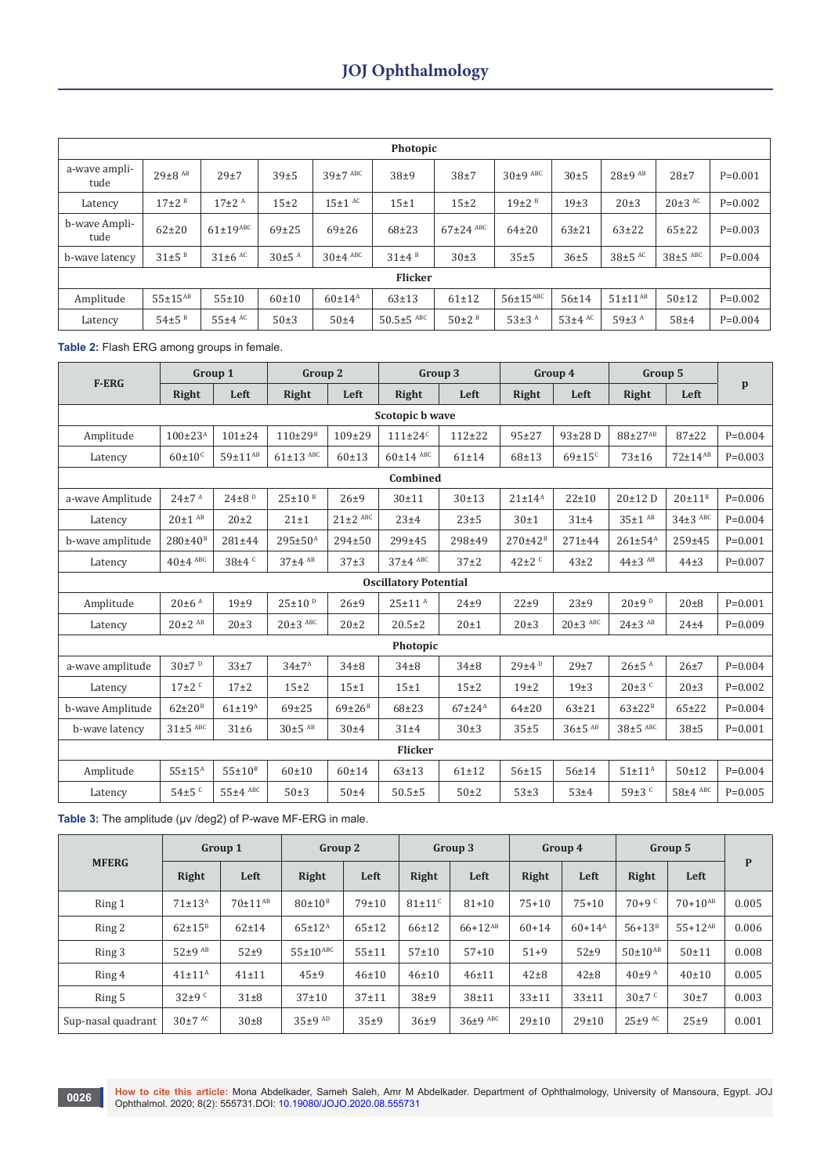|                       | Photopic                 |                       |                       |                        |                       |                       |                            |             |                       |              |             |  |  |  |
|-----------------------|--------------------------|-----------------------|-----------------------|------------------------|-----------------------|-----------------------|----------------------------|-------------|-----------------------|--------------|-------------|--|--|--|
| a-wave ampli-<br>tude | $29 \pm 8$ <sup>AB</sup> | 29±7                  | 39±5                  | $39\pm7$ ABC           | $38\pm9$              | $38\pm7$              | $30\pm9$ ABC               | 30±5        | $28\pm9$ AB           | $28 + 7$     | $P=0.001$   |  |  |  |
| Latency               | $17\pm2$ <sup>B</sup>    | $17\pm2$ <sup>A</sup> | $15\pm2$              | $15±1$ $AC$            | 15±1                  | $15\pm2$              | $19\pm2$ <sup>B</sup>      | 19±3        | $20\pm3$              | $20\pm3$ AC  | $P = 0.002$ |  |  |  |
| b-wave Ampli-<br>tude | $62+20$                  | $61\pm19$ ABC         | $69+25$               | $69+26$                | $68 + 23$             | $67\pm24$ ABC         | $64 + 20$                  | $63+21$     | $63+22$               | $65+22$      | $P=0.003$   |  |  |  |
| b-wave latency        | $31\pm5$ <sup>B</sup>    | $31\pm6$ AC           | $30\pm5$ <sup>A</sup> | $30\pm4$ ABC           | $31\pm4$ <sup>B</sup> | $30\pm3$              | $35 + 5$                   | $36 + 5$    | $38\pm5$ AC           | $38\pm5$ ABC | $P = 0.004$ |  |  |  |
|                       |                          |                       |                       |                        | <b>Flicker</b>        |                       |                            |             |                       |              |             |  |  |  |
| Amplitude             | $55 + 15^{AB}$           | $55 + 10$             | $60 \pm 10$           | $60 \pm 14^{\text{A}}$ | $63 + 13$             | $61 \pm 12$           | $56 \pm 15$ <sup>ABC</sup> | $56 + 14$   | $51 \pm 11^{AB}$      | $50 + 12$    | $P=0.002$   |  |  |  |
| Latency               | $54\pm5$ <sup>B</sup>    | $55±4$ AC             | $50\pm3$              | $50\pm4$               | $50.5 \pm 5$ ABC      | $50\pm2$ <sup>B</sup> | $53+3^A$                   | $53\pm4$ AC | $59\pm3$ <sup>A</sup> | $58 + 4$     | $P = 0.004$ |  |  |  |

**Table 2:** Flash ERG among groups in female.

| <b>F-ERG</b>                 |                         | Group 1                |                         | Group 2              |                           | Group 3     |                           | Group 4                  | Group 5                |                |              |  |  |
|------------------------------|-------------------------|------------------------|-------------------------|----------------------|---------------------------|-------------|---------------------------|--------------------------|------------------------|----------------|--------------|--|--|
|                              | Right                   | Left                   | Right                   | Left                 | Right                     | Left        | Right                     | Left                     | Right                  | Left           | $\mathbf{p}$ |  |  |
| Scotopic b wave              |                         |                        |                         |                      |                           |             |                           |                          |                        |                |              |  |  |
| Amplitude                    | $100 \pm 23^{\text{A}}$ | $101 \pm 24$           | $110{\pm}29^{B}$        | $109 + 29$           | $111 \pm 24$ <sup>c</sup> | $112 + 22$  | $95 + 27$                 | 93±28D                   | 88±27 <sup>AB</sup>    | $87 + 22$      | $P=0.004$    |  |  |
| Latency                      | $60\pm10$ <sup>c</sup>  | $59 \pm 11^{AB}$       | $61\pm13$ ABC           | 60±13                | $60\pm14$ ABC             | $61 + 14$   | $68 + 13$                 | $69 \pm 15$ <sup>c</sup> | $73 + 16$              | $72 + 14^{AB}$ | $P=0.003$    |  |  |
| Combined                     |                         |                        |                         |                      |                           |             |                           |                          |                        |                |              |  |  |
| a-wave Amplitude             | $24\pm7$ <sup>A</sup>   | $24\pm8$ <sup>D</sup>  | $25 \pm 10^{B}$         | $26 + 9$             | $30 + 11$                 | $30 + 13$   | $21 \pm 14^{A}$           | $22 + 10$                | 20±12D                 | $20 \pm 11^B$  | $P=0.006$    |  |  |
| Latency                      | $20\pm1$ <sup>AB</sup>  | $20\pm2$               | $21 \pm 1$              | $21\pm2$ ABC         | 23±4                      | $23 \pm 5$  | 30±1                      | $31\pm4$                 | $35 \pm 1$ AB          | $34\pm3$ ABC   | $P=0.004$    |  |  |
| b-wave amplitude             | $280{\pm}40^{\text{B}}$ | $281 + 44$             | $295 \pm 50^{\text{A}}$ | $294 \pm 50$         | 299±45                    | 298±49      | $270 \pm 42$ <sup>B</sup> | $271 + 44$               | $261 \pm 54^{A}$       | 259±45         | $P=0.001$    |  |  |
| Latency                      | $40\pm4$ ABC            | $38\pm4$ <sup>c</sup>  | $37±4$ AB               | $37\pm3$             | $37\pm4$ ABC              | $37\pm2$    | $42\pm2$ <sup>c</sup>     | $43\pm2$                 | $44\pm3$ AB            | $44\pm3$       | $P=0.007$    |  |  |
| <b>Oscillatory Potential</b> |                         |                        |                         |                      |                           |             |                           |                          |                        |                |              |  |  |
| Amplitude                    | $20\pm 6$ <sup>A</sup>  | 19±9                   | 25±10 <sup>D</sup>      | $26 + 9$             | $25 \pm 11$ <sup>A</sup>  | $24\pm9$    | 22±9                      | 23±9                     | $20\pm9~^{\mathrm{D}}$ | $20\pm8$       | $P = 0.001$  |  |  |
| Latency                      | $20\pm2$ <sup>AB</sup>  | $20\pm3$               | $20\pm3$ ABC            | $20\pm2$             | $20.5 \pm 2$              | $20 \pm 1$  | $20\pm3$                  | $20\pm3$ ABC             | $24\pm3$ AB            | $24\pm4$       | $P=0.009$    |  |  |
|                              |                         |                        |                         |                      | Photopic                  |             |                           |                          |                        |                |              |  |  |
| a-wave amplitude             | $30\pm7~^{\mathrm{D}}$  | 33±7                   | $34\pm7^{\rm A}$        | $34\pm8$             | $34\pm8$                  | $34\pm8$    | $29\pm4~^{\mathrm{D}}$    | 29±7                     | $26\pm5$ <sup>A</sup>  | $26 + 7$       | $P=0.004$    |  |  |
| Latency                      | $17 \pm 2$ <sup>c</sup> | $17+2$                 | $15\pm2$                | $15 \pm 1$           | $15 \pm 1$                | $15\pm2$    | 19 <sub>±2</sub>          | 19±3                     | $20\pm3$ <sup>c</sup>  | $20\pm3$       | $P=0.002$    |  |  |
| b-wave Amplitude             | $62\pm20_B$             | $61{\pm}19^{A}$        | $69 + 25$               | $69\pm26^{\text{B}}$ | $68 + 23$                 | $67+24^{A}$ | $64 + 20$                 | $63+21$                  | $63 \pm 22^B$          | $65+22$        | $P=0.004$    |  |  |
| b-wave latency               | $31\pm5$ ABC            | 31±6                   | $30\pm5$ <sup>AB</sup>  | 30±4                 | $31\pm4$                  | $30\pm3$    | $35 + 5$                  | $36\pm5$ <sup>AB</sup>   | $38\pm5$ ABC           | 38±5           | $P = 0.001$  |  |  |
| <b>Flicker</b>               |                         |                        |                         |                      |                           |             |                           |                          |                        |                |              |  |  |
| Amplitude                    | $55 \pm 15^A$           | $55\pm10^{\mathrm{B}}$ | $60 + 10$               | $60 + 14$            | $63 + 13$                 | $61 \pm 12$ | $56 + 15$                 | $56 + 14$                | $51\pm11^A$            | $50 + 12$      | $P = 0.004$  |  |  |
| Latency                      | $54\pm5$ <sup>c</sup>   | $55±4$ ABC             | $50\pm3$                | 50±4                 | $50.5 \pm 5$              | $50\pm2$    | $53\pm3$                  | 53±4                     | 59±3 <sup>c</sup>      | $58\pm4$ ABC   | $P = 0.005$  |  |  |

Table 3: The amplitude (µv /deg2) of P-wave MF-ERG in male.

| <b>MFERG</b>       | Group 1             |              | Group 2         |             | Group 3                |              | Group 4     |           | Group 5                 |              |       |
|--------------------|---------------------|--------------|-----------------|-------------|------------------------|--------------|-------------|-----------|-------------------------|--------------|-------|
|                    | Right               | Left         | Right           | Left        | Right                  | Left         | Right       | Left      | Right                   | Left         | P     |
| Ring 1             | $71 \pm 13^{A}$     | $70±11^{AB}$ | $80{\pm}10^{8}$ | $79 + 10$   | $81\pm11$ <sup>c</sup> | $81 + 10$    | $75 + 10$   | $75+10$   | $70+9$ <sup>c</sup>     | $70+10^{AB}$ | 0.005 |
| Ring 2             | $62 \pm 15^{\rm B}$ | $62 + 14$    | $65 \pm 12^{A}$ | $65 + 12$   | $66 + 12$              | $66+12^{AB}$ | $60 + 14$   | $60+14^A$ | $56+13^{B}$             | $55+12^{AB}$ | 0.006 |
| Ring 3             | $52+9$ AB           | $52+9$       | $55\pm10$ ABC   | $55 + 11$   | $57 + 10$              | $57 + 10$    | $51+9$      | $52\pm9$  | $50 \pm 10^{AB}$        | $50 + 11$    | 0.008 |
| Ring 4             | $41\pm11^A$         | $41 \pm 11$  | $45\pm9$        | $46 \pm 10$ | $46 + 10$              | $46 + 11$    | $42\pm8$    | $42\pm8$  | $40\pm9$ <sup>A</sup>   | $40 + 10$    | 0.005 |
| Ring 5             | $32\pm9$ c          | $31\pm8$     | $37 + 10$       | $37 + 11$   | $38\pm9$               | $38 + 11$    | $33 + 11$   | $33 + 11$ | $30 \pm 7$ <sup>c</sup> | $30\pm7$     | 0.003 |
| Sup-nasal quadrant | $30\pm7$ AC         | $30\pm8$     | $35\pm9$ AD     | 35±9        | $36\pm9$               | $36\pm9$ ABC | $29 \pm 10$ | 29±10     | $25\pm9$ AC             | $25\pm9$     | 0.001 |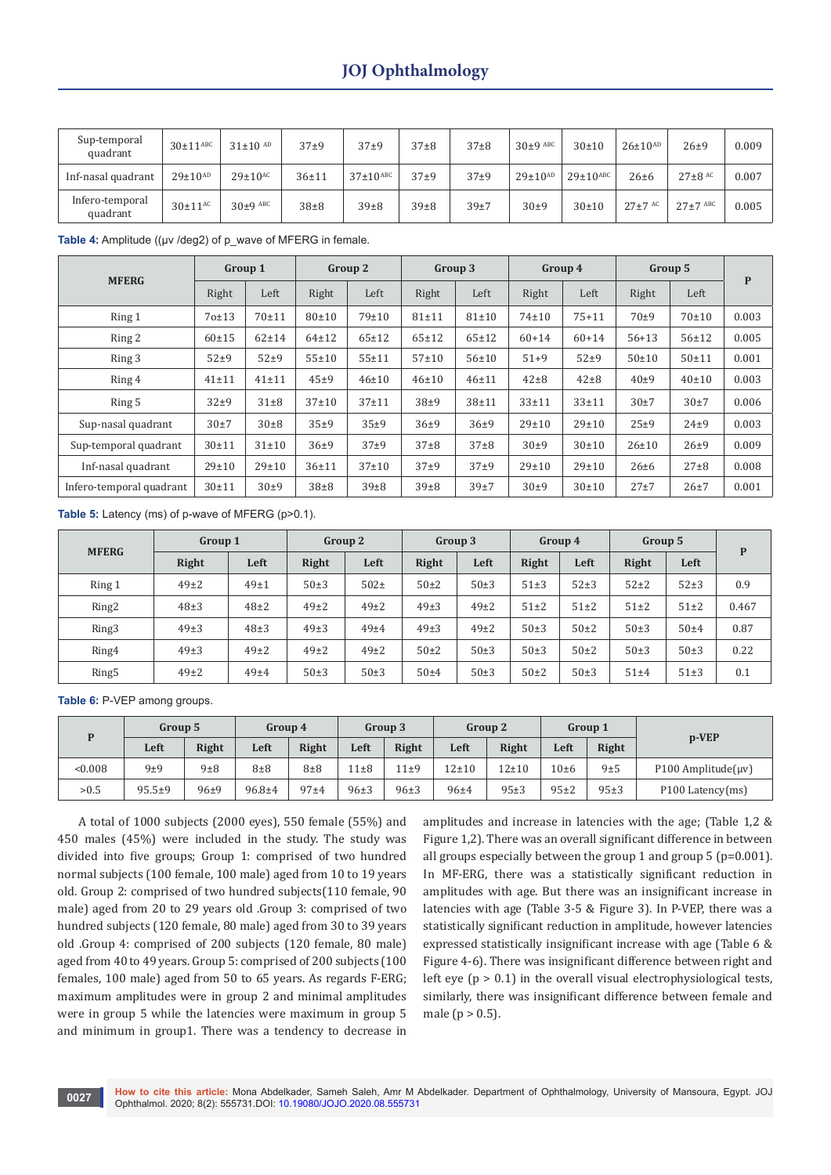| Sup-temporal<br>quadrant    | $30\pm11^{\text{ABC}}$  | $31\pm10$ AD            | $37\pm9$  | $37\pm9$                 | $37 + 8$ | $37\pm8$ | $30\pm9$ ABC     | $30 + 10$                | $26 \pm 10^{AD}$ | $26 + 9$       | 0.009 |
|-----------------------------|-------------------------|-------------------------|-----------|--------------------------|----------|----------|------------------|--------------------------|------------------|----------------|-------|
| Inf-nasal quadrant          | $29 \pm 10^{AD}$        | $29\pm10$ <sup>AC</sup> | $36 + 11$ | $37\pm10$ <sup>ABC</sup> | $37\pm9$ | $37+9$   | $29{\pm}10^{AD}$ | $29\pm10$ <sup>ABC</sup> | $26 \pm 6$       | $27\pm8$ AC    | 0.007 |
| Infero-temporal<br>quadrant | $30\pm11$ <sup>AC</sup> | $30\pm9$ ABC            | $38\pm8$  | $39\pm8$                 | $39\pm8$ | 39±7     | 30±9             | $30 + 10$                | $27 \pm 7$ AC    | $27 \pm 7$ ABC | 0.005 |

Table 4: Amplitude ((µv /deg2) of p\_wave of MFERG in female.

|                          | Group 1   |             | Group 2     |             | Group 3     |             | Group 4     |           | Group 5     |             |       |
|--------------------------|-----------|-------------|-------------|-------------|-------------|-------------|-------------|-----------|-------------|-------------|-------|
| <b>MFERG</b>             | Right     | Left        | Right       | Left        | Right       | Left        | Right       | Left      | Right       | Left        | P     |
| Ring 1                   | 70±13     | $70 + 11$   | $80 \pm 10$ | $79 + 10$   | $81 + 11$   | $81 \pm 10$ | $74 + 10$   | $75 + 11$ | $70\pm9$    | 70±10       | 0.003 |
| Ring 2                   | $60 + 15$ | $62 + 14$   | $64 \pm 12$ | $65 \pm 12$ | $65 \pm 12$ | $65 + 12$   | $60 + 14$   | $60 + 14$ | $56 + 13$   | $56 + 12$   | 0.005 |
| Ring 3                   | $52\pm9$  | $52\pm9$    | $55 + 10$   | $55 + 11$   | $57 + 10$   | $56 + 10$   | $51+9$      | $52\pm9$  | $50 + 10$   | $50 + 11$   | 0.001 |
| Ring 4                   | $41 + 11$ | $41 \pm 11$ | $45\pm9$    | $46 + 10$   | $46 + 10$   | $46 + 11$   | $42\pm8$    | $42\pm8$  | $40\pm9$    | $40 \pm 10$ | 0.003 |
| Ring 5                   | $32\pm9$  | $31\pm8$    | $37 + 10$   | $37 + 11$   | $38\pm9$    | $38 + 11$   | $33 + 11$   | $33 + 11$ | $30\pm7$    | 30±7        | 0.006 |
| Sup-nasal quadrant       | 30±7      | $30\pm8$    | 35±9        | 35±9        | $36+9$      | $36\pm9$    | $29 \pm 10$ | 29±10     | 25±9        | $24\pm9$    | 0.003 |
| Sup-temporal quadrant    | $30 + 11$ | $31 \pm 10$ | $36+9$      | $37\pm9$    | $37\pm8$    | $37 + 8$    | $30\pm9$    | 30±10     | $26 \pm 10$ | $26 + 9$    | 0.009 |
| Inf-nasal quadrant       | 29±10     | $29 \pm 10$ | $36 + 11$   | $37+10$     | $37+9$      | $37\pm9$    | $29 + 10$   | 29±10     | $26 \pm 6$  | $27 + 8$    | 0.008 |
| Infero-temporal quadrant | $30 + 11$ | $30\pm9$    | $38\pm8$    | $39\pm8$    | $39\pm8$    | 39±7        | $30\pm9$    | 30±10     | $27 + 7$    | $26 + 7$    | 0.001 |

**Table 5:** Latency (ms) of p-wave of MFERG (p>0.1).

| <b>MFERG</b>      | Group 1  |            | Group 2  |          | Group 3      |          | Group 4  |          | Group 5  |          | P     |
|-------------------|----------|------------|----------|----------|--------------|----------|----------|----------|----------|----------|-------|
|                   | Right    | Left       | Right    | Left     | <b>Right</b> | Left     | Right    | Left     | Right    | Left     |       |
| Ring 1            | $49\pm2$ | $49+1$     | $50\pm3$ | $502\pm$ | $50\pm2$     | $50\pm3$ | $51\pm3$ | $52\pm3$ | $52\pm2$ | $52\pm3$ | 0.9   |
| Ring <sub>2</sub> | $48 + 3$ | $48\pm2$   | $49\pm2$ | $49\pm2$ | $49\pm3$     | $49\pm2$ | $51\pm2$ | $51\pm2$ | $51\pm2$ | $51\pm2$ | 0.467 |
| Ring3             | $49\pm3$ | $48 \pm 3$ | $49\pm3$ | $49\pm4$ | $49\pm3$     | $49\pm2$ | $50\pm3$ | $50\pm2$ | $50\pm3$ | 50±4     | 0.87  |
| Ring4             | $49\pm3$ | $49\pm2$   | $49\pm2$ | $49\pm2$ | $50\pm2$     | $50\pm3$ | 50±3     | $50\pm2$ | $50\pm3$ | 50±3     | 0.22  |
| Ring <sub>5</sub> | $49\pm2$ | $49\pm4$   | $50\pm3$ | $50\pm3$ | $50\pm4$     | $50\pm3$ | $50\pm2$ | $50\pm3$ | $51\pm4$ | $51\pm3$ | 0.1   |

**Table 6:** P-VEP among groups.

| D      | Group 5  |          | Group 4    |          |            | Group 3    |           | Group 2   | Group 1   |        |                    |
|--------|----------|----------|------------|----------|------------|------------|-----------|-----------|-----------|--------|--------------------|
|        | Left     | Right    | Left       | Right    | Left       | Right      | Left      | Right     | Left      | Right  | $p-VEP$            |
| &0.008 | 9±9      | 9±8      | $8\pm8$    | $8\pm8$  | $11\pm8$   | 11±9       | $12 + 10$ | $12 + 10$ | $10\pm 6$ | 9±5    | P100 Amplitude(uv) |
| >0.5   | $95.5+9$ | $96 + 9$ | $96.8 + 4$ | $97 + 4$ | $96 \pm 3$ | $96 \pm 3$ | $96 + 4$  | $95+3$    | $95+2$    | $95+3$ | P100 Latency(ms)   |

A total of 1000 subjects (2000 eyes), 550 female (55%) and 450 males (45%) were included in the study. The study was divided into five groups; Group 1: comprised of two hundred normal subjects (100 female, 100 male) aged from 10 to 19 years old. Group 2: comprised of two hundred subjects(110 female, 90 male) aged from 20 to 29 years old .Group 3: comprised of two hundred subjects (120 female, 80 male) aged from 30 to 39 years old .Group 4: comprised of 200 subjects (120 female, 80 male) aged from 40 to 49 years. Group 5: comprised of 200 subjects (100 females, 100 male) aged from 50 to 65 years. As regards F-ERG; maximum amplitudes were in group 2 and minimal amplitudes were in group 5 while the latencies were maximum in group 5 and minimum in group1. There was a tendency to decrease in

amplitudes and increase in latencies with the age; (Table 1,2 & Figure 1,2). There was an overall significant difference in between all groups especially between the group 1 and group 5 (p=0.001). In MF-ERG, there was a statistically significant reduction in amplitudes with age. But there was an insignificant increase in latencies with age (Table 3-5 & Figure 3). In P-VEP, there was a statistically significant reduction in amplitude, however latencies expressed statistically insignificant increase with age (Table 6 & Figure 4-6). There was insignificant difference between right and left eye  $(p > 0.1)$  in the overall visual electrophysiological tests, similarly, there was insignificant difference between female and male ( $p > 0.5$ ).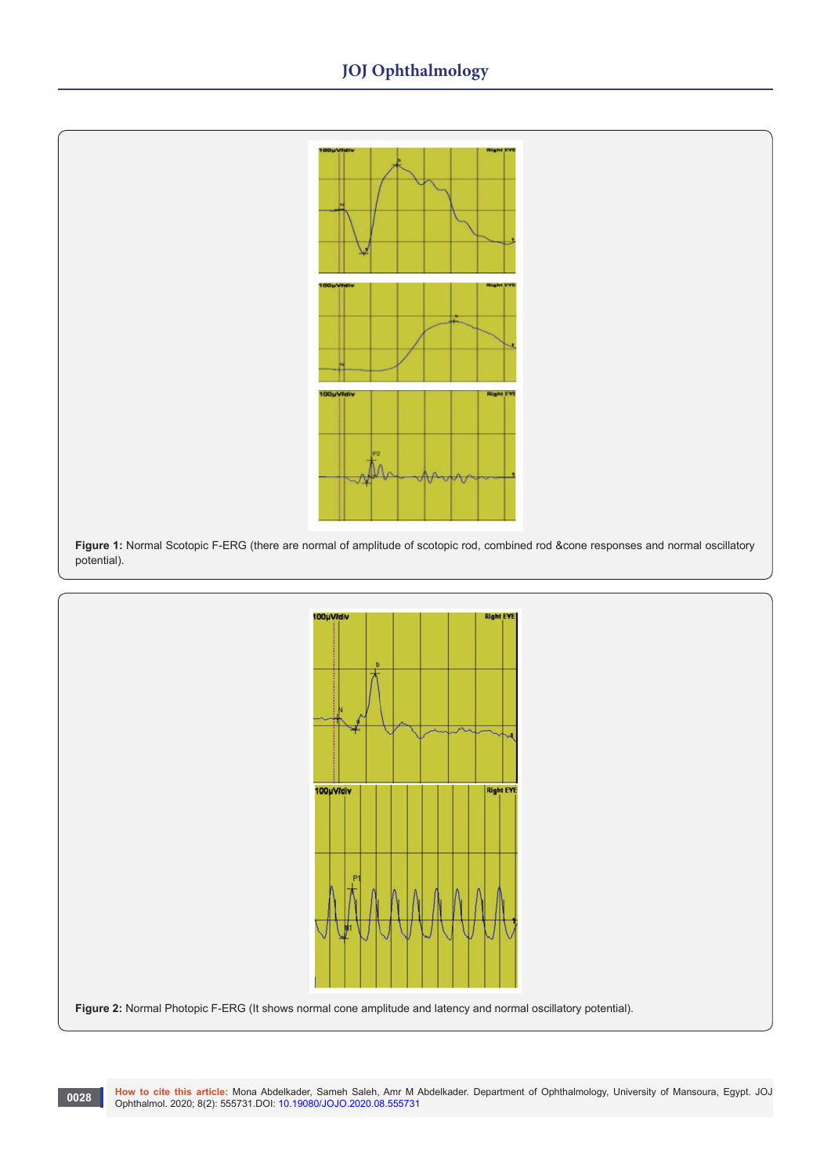# **JOJ Ophthalmology**



**Figure 1:** Normal Scotopic F-ERG (there are normal of amplitude of scotopic rod, combined rod &cone responses and normal oscillatory potential).

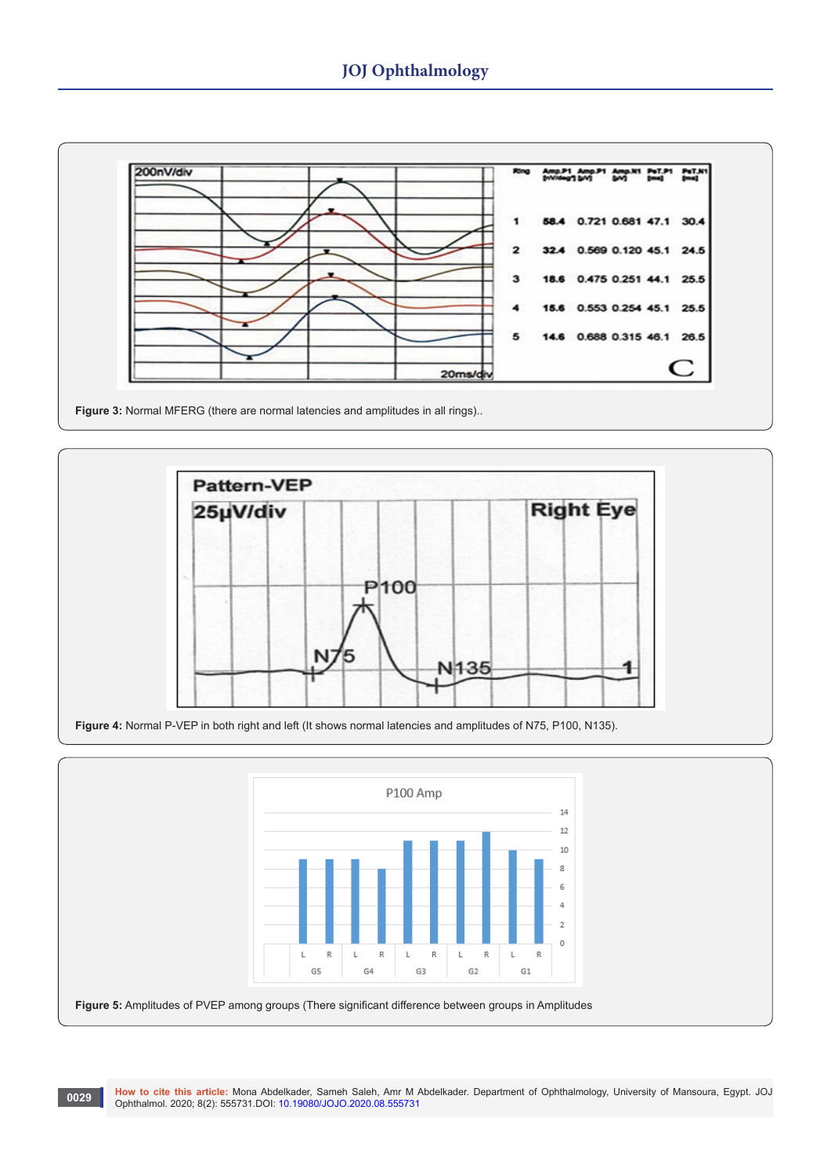

**Figure 3:** Normal MFERG (there are normal latencies and amplitudes in all rings)..



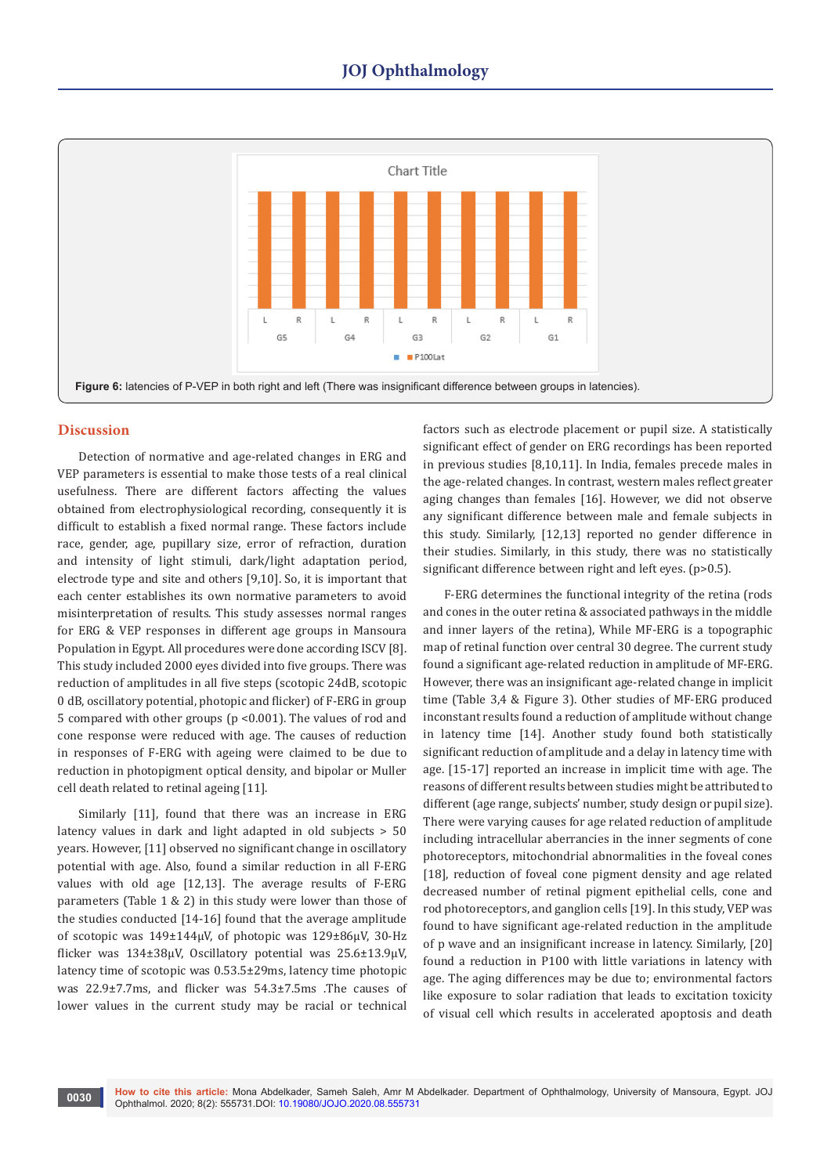

### **Discussion**

Detection of normative and age-related changes in ERG and VEP parameters is essential to make those tests of a real clinical usefulness. There are different factors affecting the values obtained from electrophysiological recording, consequently it is difficult to establish a fixed normal range. These factors include race, gender, age, pupillary size, error of refraction, duration and intensity of light stimuli, dark/light adaptation period, electrode type and site and others [9,10]. So, it is important that each center establishes its own normative parameters to avoid misinterpretation of results. This study assesses normal ranges for ERG & VEP responses in different age groups in Mansoura Population in Egypt. All procedures were done according ISCV [8]. This study included 2000 eyes divided into five groups. There was reduction of amplitudes in all five steps (scotopic 24dB, scotopic 0 dB, oscillatory potential, photopic and flicker) of F-ERG in group 5 compared with other groups (p <0.001). The values of rod and cone response were reduced with age. The causes of reduction in responses of F-ERG with ageing were claimed to be due to reduction in photopigment optical density, and bipolar or Muller cell death related to retinal ageing [11].

Similarly [11], found that there was an increase in ERG latency values in dark and light adapted in old subjects > 50 years. However, [11] observed no significant change in oscillatory potential with age. Also, found a similar reduction in all F-ERG values with old age [12,13]. The average results of F-ERG parameters (Table 1 & 2) in this study were lower than those of the studies conducted [14-16] found that the average amplitude of scotopic was 149±144μV, of photopic was 129±86μV, 30-Hz flicker was 134±38μV, Oscillatory potential was 25.6±13.9μV, latency time of scotopic was 0.53.5±29ms, latency time photopic was 22.9±7.7ms, and flicker was 54.3±7.5ms .The causes of lower values in the current study may be racial or technical

factors such as electrode placement or pupil size. A statistically significant effect of gender on ERG recordings has been reported in previous studies [8,10,11]. In India, females precede males in the age-related changes. In contrast, western males reflect greater aging changes than females [16]. However, we did not observe any significant difference between male and female subjects in this study. Similarly, [12,13] reported no gender difference in their studies. Similarly, in this study, there was no statistically significant difference between right and left eyes. (p>0.5).

F-ERG determines the functional integrity of the retina (rods and cones in the outer retina & associated pathways in the middle and inner layers of the retina), While MF-ERG is a topographic map of retinal function over central 30 degree. The current study found a significant age-related reduction in amplitude of MF-ERG. However, there was an insignificant age-related change in implicit time (Table 3,4 & Figure 3). Other studies of MF-ERG produced inconstant results found a reduction of amplitude without change in latency time [14]. Another study found both statistically significant reduction of amplitude and a delay in latency time with age. [15-17] reported an increase in implicit time with age. The reasons of different results between studies might be attributed to different (age range, subjects' number, study design or pupil size). There were varying causes for age related reduction of amplitude including intracellular aberrancies in the inner segments of cone photoreceptors, mitochondrial abnormalities in the foveal cones [18], reduction of foveal cone pigment density and age related decreased number of retinal pigment epithelial cells, cone and rod photoreceptors, and ganglion cells [19]. In this study, VEP was found to have significant age-related reduction in the amplitude of p wave and an insignificant increase in latency. Similarly, [20] found a reduction in P100 with little variations in latency with age. The aging differences may be due to; environmental factors like exposure to solar radiation that leads to excitation toxicity of visual cell which results in accelerated apoptosis and death